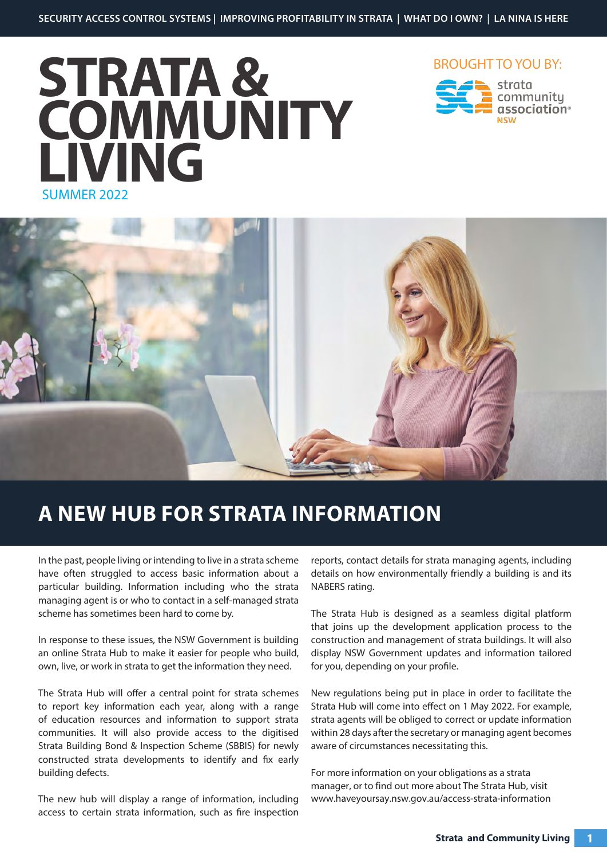







### **A NEW HUB FOR STRATA INFORMATION**

In the past, people living or intending to live in a strata scheme have often struggled to access basic information about a particular building. Information including who the strata managing agent is or who to contact in a self-managed strata scheme has sometimes been hard to come by.

In response to these issues, the NSW Government is building an online Strata Hub to make it easier for people who build, own, live, or work in strata to get the information they need.

The Strata Hub will offer a central point for strata schemes to report key information each year, along with a range of education resources and information to support strata communities. It will also provide access to the digitised Strata Building Bond & Inspection Scheme (SBBIS) for newly constructed strata developments to identify and fix early building defects.

The new hub will display a range of information, including access to certain strata information, such as fire inspection reports, contact details for strata managing agents, including details on how environmentally friendly a building is and its NABERS rating.

The Strata Hub is designed as a seamless digital platform that joins up the development application process to the construction and management of strata buildings. It will also display NSW Government updates and information tailored for you, depending on your profile.

New regulations being put in place in order to facilitate the Strata Hub will come into effect on 1 May 2022. For example, strata agents will be obliged to correct or update information within 28 days after the secretary or managing agent becomes aware of circumstances necessitating this.

For more information on your obligations as a strata manager, or to find out more about The Strata Hub, visit www.haveyoursay.nsw.gov.au/access-strata-information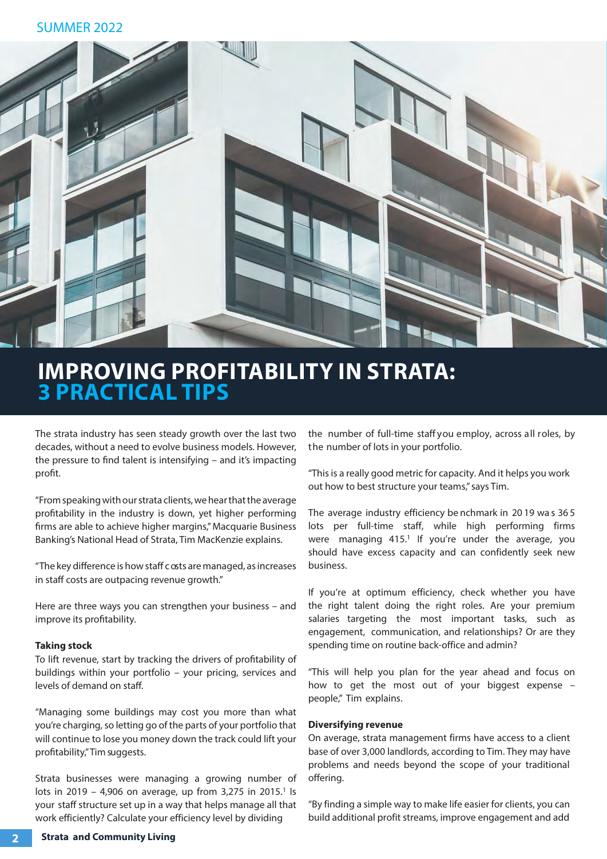

### **IMPROVING PROFITABILITY IN STRATA: 3 PRACTICAL TIPS**

The strata industry has seen steady growth over the last two decades, without a need to evolve business models. However, the pressure to find talent is intensifying – and it's impacting profit.

"From speaking with our strata clients, we hear that the average profitability in the industry is down, yet higher performing firms are able to achieve higher margins," Macquarie Business Banking's National Head of Strata, Tim MacKenzie explains.

"The key difference is how staff c osts are managed, as increases in staff costs are outpacing revenue growth."

Here are three ways you can strengthen your business – and improve its profitability.

#### **Taking stock**

To lift revenue, start by tracking the drivers of profitability of buildings within your portfolio – your pricing, services and levels of demand on staff.

"Managing some buildings may cost you more than what you're charging, so letting go of the parts of your portfolio that will continue to lose you money down the track could lift your profitability," Tim suggests.

Strata businesses were managing a growing number of lots in 2019 - 4,906 on average, up from 3,275 in 2015.<sup>1</sup> Is your staff structure set up in a way that helps manage all that work efficiently? Calculate your efficiency level by dividing

the number of full-time staff you employ, across all roles, by the number of lots in your portfolio.

"This is a really good metric for capacity. And it helps you work out how to best structure your teams," says Tim.

The average industry efficiency be nchmark in 20 19 wa s 36 5 lots per full-time staff, while high performing firms were managing 415.<sup>1</sup> If you're under the average, you should have excess capacity and can confidently seek new business.

If you're at optimum efficiency, check whether you have the right talent doing the right roles. Are your premium salaries targeting the most important tasks, such as engagement, communication, and relationships? Or are they spending time on routine back-office and admin?

"This will help you plan for the year ahead and focus on how to get the most out of your biggest expense – people," Tim explains.

#### **Diversifying revenue**

On average, strata management firms have access to a client base of over 3,000 landlords, according to Tim. They may have problems and needs beyond the scope of your traditional offering.

"By finding a simple way to make life easier for clients, you can build additional profit streams, improve engagement and add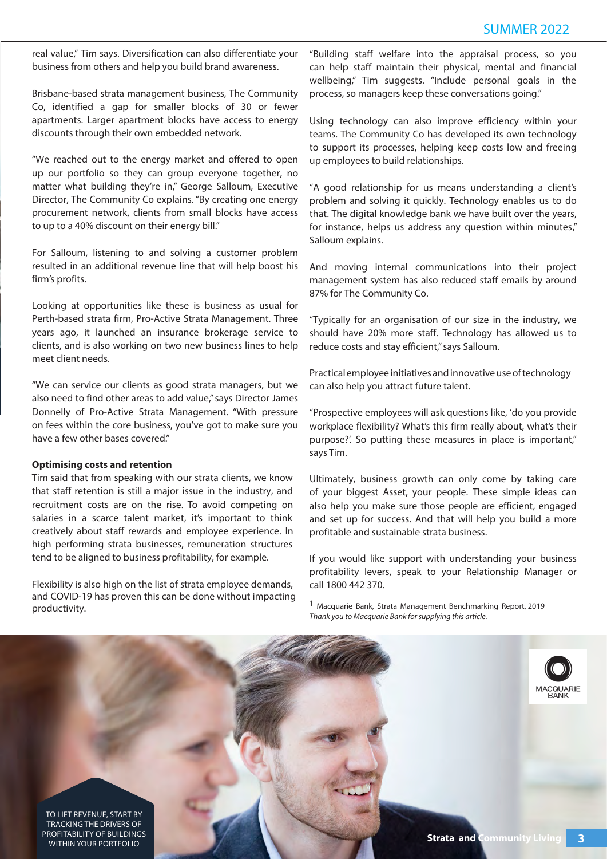real value," Tim says. Diversification can also differentiate your business from others and help you build brand awareness.

Brisbane-based strata management business, The Community Co, identified a gap for smaller blocks of 30 or fewer apartments. Larger apartment blocks have access to energy discounts through their own embedded network.

"We reached out to the energy market and offered to open up our portfolio so they can group everyone together, no matter what building they're in," George Salloum, Executive Director, The Community Co explains. "By creating one energy procurement network, clients from small blocks have access to up to a 40% discount on their energy bill."

For Salloum, listening to and solving a customer problem resulted in an additional revenue line that will help boost his firm's profits.

Looking at opportunities like these is business as usual for Perth-based strata firm, Pro-Active Strata Management. Three years ago, it launched an insurance brokerage service to clients, and is also working on two new business lines to help meet client needs.

"We can service our clients as good strata managers, but we also need to find other areas to add value," says Director James Donnelly of Pro-Active Strata Management. "With pressure on fees within the core business, you've got to make sure you have a few other bases covered."

#### **Optimising costs and retention**

Tim said that from speaking with our strata clients, we know that staff retention is still a major issue in the industry, and recruitment costs are on the rise. To avoid competing on salaries in a scarce talent market, it's important to think creatively about staff rewards and employee experience. In high performing strata businesses, remuneration structures tend to be aligned to business profitability, for example.

Flexibility is also high on the list of strata employee demands, and COVID-19 has proven this can be done without impacting productivity.

"Building staff welfare into the appraisal process, so you can help staff maintain their physical, mental and financial wellbeing," Tim suggests. "Include personal goals in the process, so managers keep these conversations going."

Using technology can also improve efficiency within your teams. The Community Co has developed its own technology to support its processes, helping keep costs low and freeing up employees to build relationships.

"A good relationship for us means understanding a client's problem and solving it quickly. Technology enables us to do that. The digital knowledge bank we have built over the years, for instance, helps us address any question within minutes," Salloum explains.

And moving internal communications into their project management system has also reduced staff emails by around 87% for The Community Co.

"Typically for an organisation of our size in the industry, we should have 20% more staff. Technology has allowed us to reduce costs and stay efficient," says Salloum.

Practical employee initiatives and innovative use of technology can also help you attract future talent.

"Prospective employees will ask questions like, 'do you provide workplace flexibility? What's this firm really about, what's their purpose?'. So putting these measures in place is important," says Tim.

Ultimately, business growth can only come by taking care of your biggest Asset, your people. These simple ideas can also help you make sure those people are efficient, engaged and set up for success. And that will help you build a more profitable and sustainable strata business.

If you would like support with understanding your business profitability levers, speak to your Relationship Manager or call 1800 442 370.

[1 Macquarie Bank, Strata Management Benchmarking Report, 2019](chrome-extension://efaidnbmnnnibpcajpcglclefindmkaj/viewer.html?pdfurl=https%3A%2F%2Fwww.macquarie.com.au%2Fassets%2Fbfs%2Fdocuments%2Fbusiness-banking%2Fbb-strata-industry%2Fmacquarie-strata-benchmarking-results-2019.pdf&clen=792941&chunk=true) Thank you to Macquarie Bank for supplying this article.

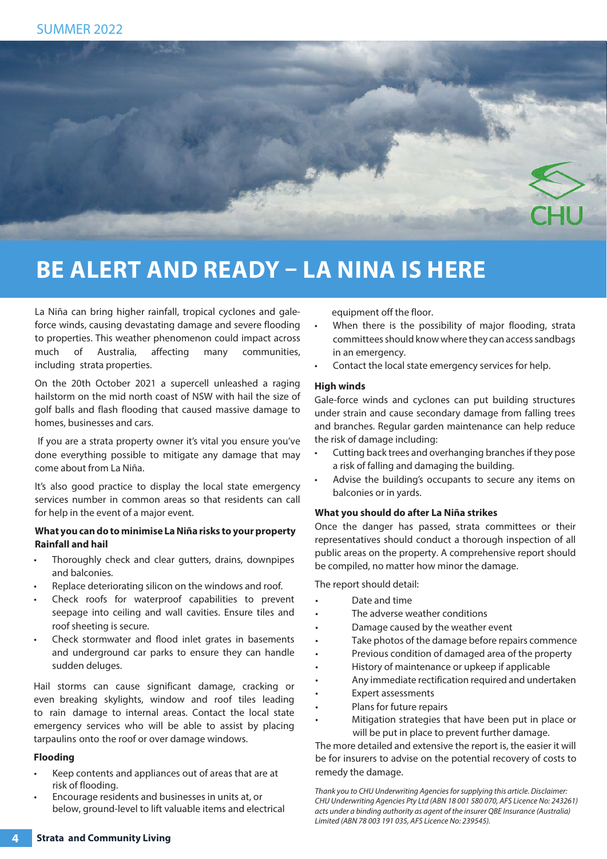

### **BE ALERT AND READY – LA NINA IS HERE**

La Niña can bring higher rainfall, tropical cyclones and galeforce winds, causing devastating damage and severe flooding to properties. This weather phenomenon could impact across much of Australia, affecting many communities, including strata properties.

On the 20th October 2021 a supercell unleashed a raging hailstorm on the mid north coast of NSW with hail the size of golf balls and flash flooding that caused massive damage to homes, businesses and cars.

 If you are a strata property owner it's vital you ensure you've done everything possible to mitigate any damage that may come about from La Niña.

It's also good practice to display the local state emergency services number in common areas so that residents can call for help in the event of a major event.

#### **What you can do to minimise La Niña risks to your property Rainfall and hail**

- Thoroughly check and clear gutters, drains, downpipes and balconies.
- Replace deteriorating silicon on the windows and roof.
- Check roofs for waterproof capabilities to prevent seepage into ceiling and wall cavities. Ensure tiles and roof sheeting is secure.
- Check stormwater and flood inlet grates in basements and underground car parks to ensure they can handle sudden deluges.

Hail storms can cause significant damage, cracking or even breaking skylights, window and roof tiles leading to rain damage to internal areas. Contact the local state emergency services who will be able to assist by placing tarpaulins onto the roof or over damage windows.

#### **Flooding**

- Keep contents and appliances out of areas that are at risk of flooding.
- Encourage residents and businesses in units at, or below, ground-level to lift valuable items and electrical

equipment off the floor.

- When there is the possibility of major flooding, strata committees should know where they can access sandbags in an emergency.
- Contact the local state emergency services for help.

#### **High winds**

Gale-force winds and cyclones can put building structures under strain and cause secondary damage from falling trees and branches. Regular garden maintenance can help reduce the risk of damage including:

- Cutting back trees and overhanging branches if they pose a risk of falling and damaging the building.
- Advise the building's occupants to secure any items on balconies or in yards.

#### **What you should do after La Niña strikes**

Once the danger has passed, strata committees or their representatives should conduct a thorough inspection of all public areas on the property. A comprehensive report should be compiled, no matter how minor the damage.

The report should detail:

- Date and time
- The adverse weather conditions
- Damage caused by the weather event
- Take photos of the damage before repairs commence
- Previous condition of damaged area of the property
- History of maintenance or upkeep if applicable
- Any immediate rectification required and undertaken
- Expert assessments
- Plans for future repairs
- Mitigation strategies that have been put in place or will be put in place to prevent further damage.

The more detailed and extensive the report is, the easier it will be for insurers to advise on the potential recovery of costs to remedy the damage.

Thank you to CHU Underwriting Agencies for supplying this article. Disclaimer: CHU Underwriting Agencies Pty Ltd (ABN 18 001 580 070, AFS Licence No: 243261) acts under a binding authority as agent of the insurer QBE Insurance (Australia) Limited (ABN 78 003 191 035, AFS Licence No: 239545).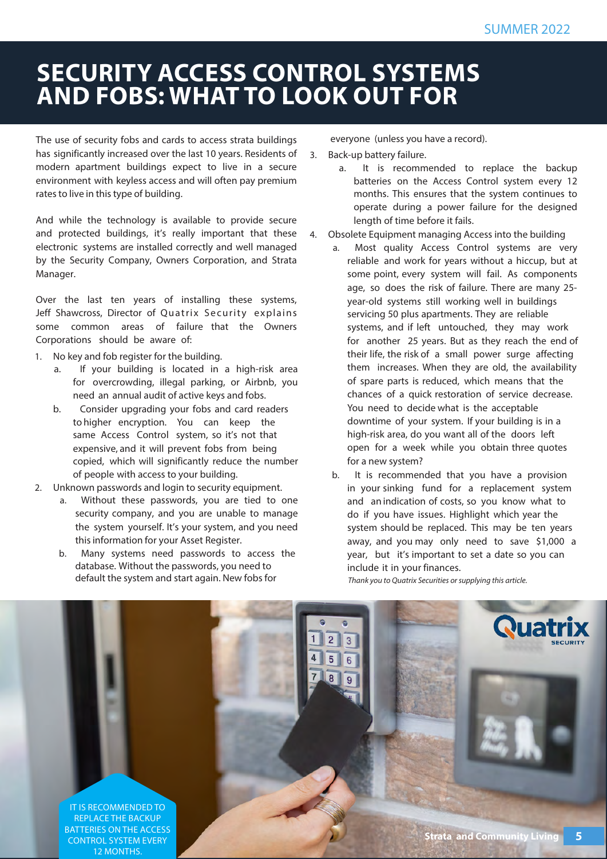# **SECURITY ACCESS CONTROL SYSTEMS AND FOBS: WHAT TO LOOK OUT FOR**

The use of security fobs and cards to access strata buildings has significantly increased over the last 10 years. Residents of modern apartment buildings expect to live in a secure environment with keyless access and will often pay premium rates to live in this type of building.

And while the technology is available to provide secure and protected buildings, it's really important that these electronic systems are installed correctly and well managed by the Security Company, Owners Corporation, and Strata Manager.

Over the last ten years of installing these systems, Jeff Shawcross, Director of Quatrix Security explains some common areas of failure that the Owners Corporations should be aware of:

- 1. No key and fob register for the building.
	- a. If your building is located in a high-risk area for overcrowding, illegal parking, or Airbnb, you need an annual audit of active keys and fobs.
	- b. Consider upgrading your fobs and card readers to higher encryption. You can keep the same Access Control system, so it's not that expensive, and it will prevent fobs from being copied, which will significantly reduce the number of people with access to your building.
- 2. Unknown passwords and login to security equipment.
	- a. Without these passwords, you are tied to one security company, and you are unable to manage the system yourself. It's your system, and you need this information for your Asset Register.
	- b. Many systems need passwords to access the database. Without the passwords, you need to default the system and start again. New fobs for

everyone (unless you have a record).

- 3. Back-up battery failure.
	- a. It is recommended to replace the backup batteries on the Access Control system every 12 months. This ensures that the system continues to operate during a power failure for the designed length of time before it fails.
- 4. Obsolete Equipment managing Access into the building
	- a. Most quality Access Control systems are very reliable and work for years without a hiccup, but at some point, every system will fail. As components age, so does the risk of failure. There are many 25 year-old systems still working well in buildings servicing 50 plus apartments. They are reliable systems, and if left untouched, they may work for another 25 years. But as they reach the end of their life, the risk of a small power surge affecting them increases. When they are old, the availability of spare parts is reduced, which means that the chances of a quick restoration of service decrease. You need to decide what is the acceptable downtime of your system. If your building is in a high-risk area, do you want all of the doors left open for a week while you obtain three quotes for a new system?
	- b. It is recommended that you have a provision in your sinking fund for a replacement system and an indication of costs, so you know what to do if you have issues. Highlight which year the system should be replaced. This may be ten years away, and you may only need to save \$1,000 a year, but it's important to set a date so you can include it in your finances.

Thank you to Quatrix Securities or supplying this article.